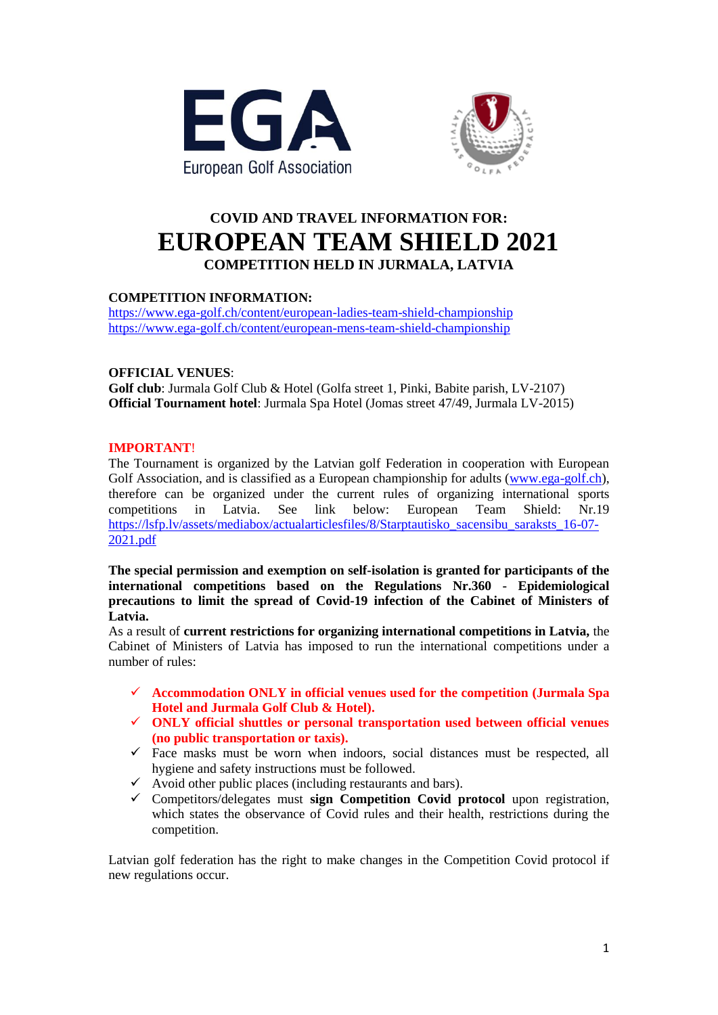



# **COVID AND TRAVEL INFORMATION FOR: EUROPEAN TEAM SHIELD 2021 COMPETITION HELD IN JURMALA, LATVIA**

## **COMPETITION INFORMATION:**

<https://www.ega-golf.ch/content/european-ladies-team-shield-championship> <https://www.ega-golf.ch/content/european-mens-team-shield-championship>

## **OFFICIAL VENUES**:

**Golf club**: Jurmala Golf Club & Hotel (Golfa street 1, Pinki, Babite parish, LV-2107) **Official Tournament hotel**: Jurmala Spa Hotel (Jomas street 47/49, Jurmala LV-2015)

### **IMPORTANT**!

The Tournament is organized by the Latvian golf Federation in cooperation with European Golf Association, and is classified as a European championship for adults [\(www.ega-golf.ch\)](http://www.ega-golf.ch/), therefore can be organized under the current rules of organizing international sports competitions in Latvia. See link below: European Team Shield: Nr.19 [https://lsfp.lv/assets/mediabox/actualarticlesfiles/8/Starptautisko\\_sacensibu\\_saraksts\\_16-07-](https://lsfp.lv/assets/mediabox/actualarticlesfiles/8/Starptautisko_sacensibu_saraksts_16-07-2021.pdf) [2021.pdf](https://lsfp.lv/assets/mediabox/actualarticlesfiles/8/Starptautisko_sacensibu_saraksts_16-07-2021.pdf)

**The special permission and exemption on self-isolation is granted for participants of the international competitions based on the Regulations Nr.360 - Epidemiological precautions to limit the spread of Covid-19 infection of the Cabinet of Ministers of Latvia.** 

As a result of **current restrictions for organizing international competitions in Latvia,** the Cabinet of Ministers of Latvia has imposed to run the international competitions under a number of rules:

- **Accommodation ONLY in official venues used for the competition (Jurmala Spa Hotel and Jurmala Golf Club & Hotel).**
- **ONLY official shuttles or personal transportation used between official venues (no public transportation or taxis).**
- $\checkmark$  Face masks must be worn when indoors, social distances must be respected, all hygiene and safety instructions must be followed.
- $\checkmark$  Avoid other public places (including restaurants and bars).
- Competitors/delegates must **sign Competition Covid protocol** upon registration, which states the observance of Covid rules and their health, restrictions during the competition.

Latvian golf federation has the right to make changes in the Competition Covid protocol if new regulations occur.